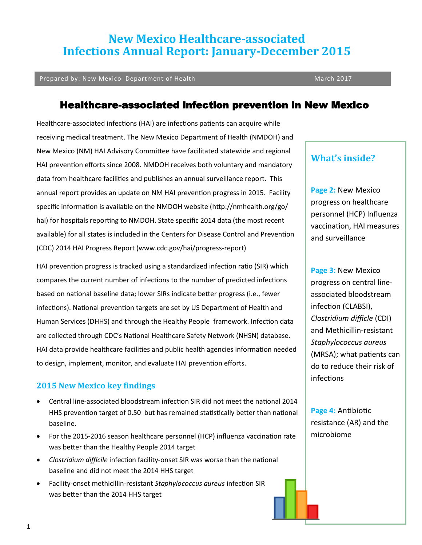# **New Mexico Healthcare-associated Infections Annual Report: January-December 2015**

#### Prepared by: New Mexico Department of Health March 2017 March 2017

## Healthcare-associated infection prevention in New Mexico

Healthcare-associated infections (HAI) are infections patients can acquire while receiving medical treatment. The New Mexico Department of Health (NMDOH) and New Mexico (NM) HAI Advisory Committee have facilitated statewide and regional HAI prevention efforts since 2008. NMDOH receives both voluntary and mandatory data from healthcare facilities and publishes an annual surveillance report. This annual report provides an update on NM HAI prevention progress in 2015. Facility specific information is available on the NMDOH website (http://nmhealth.org/go/ hai) for hospitals reporting to NMDOH. State specific 2014 data (the most recent available) for all states is included in the Centers for Disease Control and Prevention (CDC) 2014 HAI Progress Report (www.cdc.gov/hai/progress-report)

HAI prevention progress is tracked using a standardized infection ratio (SIR) which compares the current number of infections to the number of predicted infections based on national baseline data; lower SIRs indicate better progress (i.e., fewer infections). National prevention targets are set by US Department of Health and Human Services (DHHS) and through the Healthy People framework. Infection data are collected through CDC's National Healthcare Safety Network (NHSN) database. HAI data provide healthcare facilities and public health agencies information needed to design, implement, monitor, and evaluate HAI prevention efforts.

### **2015 New Mexico key findings**

- Central line-associated bloodstream infection SIR did not meet the national 2014 HHS prevention target of 0.50 but has remained statistically better than national baseline.
- For the 2015-2016 season healthcare personnel (HCP) influenza vaccination rate was better than the Healthy People 2014 target
- *Clostridium difficile* infection facility-onset SIR was worse than the national baseline and did not meet the 2014 HHS target
- Facility-onset methicillin-resistant *Staphylococcus aureus* infection SIR was better than the 2014 HHS target

## **What's inside?**

**Page 2:** New Mexico progress on healthcare personnel (HCP) Influenza vaccination, HAI measures and surveillance

**Page 3:** New Mexico progress on central lineassociated bloodstream infection (CLABSI), *Clostridium difficle* (CDI) and Methicillin-resistant *Staphylococcus aureus*  (MRSA); what patients can do to reduce their risk of infections

**Page 4:** Antibiotic resistance (AR) and the microbiome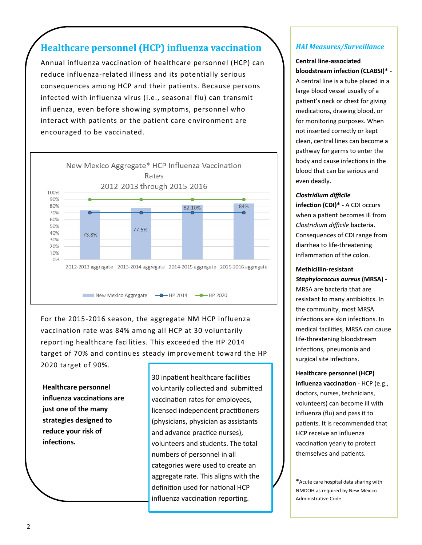## **Healthcare personnel (HCP) influenza vaccination**

Annual influenza vaccination of healthcare personnel (HCP) can reduce influenza-related illness and its potentially serious consequences among HCP and their patients. Because persons infected with influenza virus (i.e., seasonal flu) can transmit influenza, even before showing symptoms, personnel who interact with patients or the patient care environment are encouraged to be vaccinated.



For the 2015-2016 season, the aggregate NM HCP influenza vaccination rate was 84% among all HCP at 30 voluntarily reporting healthcare facilities. This exceeded the HP 2014 target of 70% and continues steady improvement toward the HP 2020 target of 90%.

**Healthcare personnel influenza vaccinations are just one of the many strategies designed to reduce your risk of infections.**

30 inpatient healthcare facilities voluntarily collected and submitted vaccination rates for employees, licensed independent practitioners (physicians, physician as assistants and advance practice nurses), volunteers and students. The total numbers of personnel in all categories were used to create an aggregate rate. This aligns with the definition used for national HCP influenza vaccination reporting.

### *HAI Measures/Surveillance*

**Central line-associated bloodstream infection (CLABSI)\*** - A central line is a tube placed in a large blood vessel usually of a patient's neck or chest for giving medications, drawing blood, or for monitoring purposes. When not inserted correctly or kept clean, central lines can become a pathway for germs to enter the body and cause infections in the blood that can be serious and even deadly.

#### *Clostridium difficile*

**infection (CDI)\*** - A CDI occurs when a patient becomes ill from *Clostridium difficile* bacteria. Consequences of CDI range from diarrhea to life-threatening inflammation of the colon.

#### **Methicillin-resistant**

*Staphylococcus aureus* **(MRSA)** - MRSA are bacteria that are resistant to many antibiotics. In the community, most MRSA infections are skin infections. In medical facilities, MRSA can cause life-threatening bloodstream infections, pneumonia and surgical site infections.

## **Healthcare personnel (HCP) influenza vaccination** - HCP (e.g., doctors, nurses, technicians, volunteers) can become ill with influenza (flu) and pass it to patients. It is recommended that HCP receive an influenza vaccination yearly to protect themselves and patients.

\*Acute care hospital data sharing with NMDOH as required by New Mexico Administrative Code.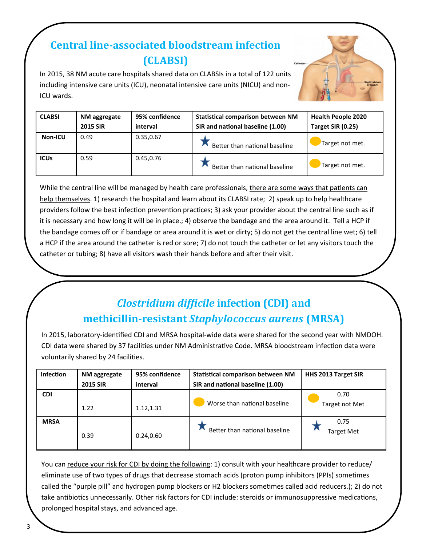# **Central line-associated bloodstream infection (CLABSI)**

In 2015, 38 NM acute care hospitals shared data on CLABSIs in a total of 122 units including intensive care units (ICU), neonatal intensive care units (NICU) and non-ICU wards.



| <b>CLABSI</b>  | NM aggregate<br><b>2015 SIR</b> | 95% confidence<br>interval | <b>Statistical comparison between NM</b><br>SIR and national baseline (1.00) | <b>Health People 2020</b><br>Target SIR (0.25) |
|----------------|---------------------------------|----------------------------|------------------------------------------------------------------------------|------------------------------------------------|
| <b>Non-ICU</b> | 0.49                            | 0.35,0.67                  | Better than national baseline                                                | Target not met.                                |
| <b>ICUs</b>    | 0.59                            | 0.45,0.76                  | Better than national baseline                                                | Target not met.                                |

While the central line will be managed by health care professionals, there are some ways that patients can help themselves. 1) research the hospital and learn about its CLABSI rate; 2) speak up to help healthcare providers follow the best infection prevention practices; 3) ask your provider about the central line such as if it is necessary and how long it will be in place.; 4) observe the bandage and the area around it. Tell a HCP if the bandage comes off or if bandage or area around it is wet or dirty; 5) do not get the central line wet; 6) tell a HCP if the area around the catheter is red or sore; 7) do not touch the catheter or let any visitors touch the catheter or tubing; 8) have all visitors wash their hands before and after their visit.

# *Clostridium difficile* **infection (CDI) and methicillin-resistant** *Staphylococcus aureus* **(MRSA)**

In 2015, laboratory-identified CDI and MRSA hospital-wide data were shared for the second year with NMDOH. CDI data were shared by 37 facilities under NM Administrative Code. MRSA bloodstream infection data were voluntarily shared by 24 facilities.

| <b>Infection</b> | NM aggregate    | 95% confidence | <b>Statistical comparison between NM</b> | HHS 2013 Target SIR       |
|------------------|-----------------|----------------|------------------------------------------|---------------------------|
|                  | <b>2015 SIR</b> | interval       | SIR and national baseline (1.00)         |                           |
| <b>CDI</b>       | 1.22            | 1.12,1.31      | Worse than national baseline             | 0.70<br>Target not Met    |
| <b>MRSA</b>      | 0.39            | 0.24, 0.60     | Better than national baseline            | 0.75<br><b>Target Met</b> |

You can reduce your risk for CDI by doing the following: 1) consult with your healthcare provider to reduce/ eliminate use of two types of drugs that decrease stomach acids (proton pump inhibitors (PPIs) sometimes called the "purple pill" and hydrogen pump blockers or H2 blockers sometimes called acid reducers.); 2) do not take antibiotics unnecessarily. Other risk factors for CDI include: steroids or immunosuppressive medications, prolonged hospital stays, and advanced age.